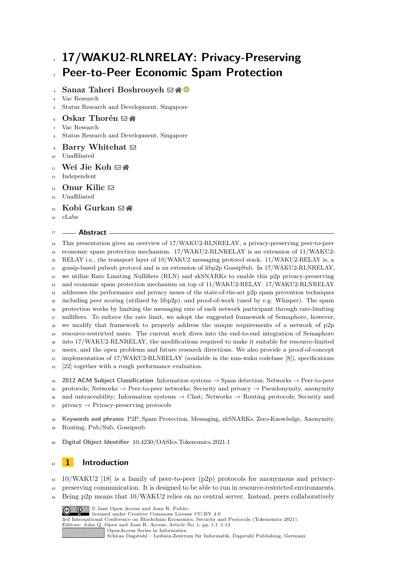# **17/WAKU2-RLNRELAY: Privacy-Preserving Peer-to-Peer Economic Spam Protection**

## **Sanaz Taheri Boshrooyeh** ⊠\* <sup>■</sup>

- Vac Research
- Status Research and Development, Singapore
- **Oskar Thorén** ⊠ ↑
- Vac Research
- Status Research and Development, Singapore
- **Barry Whitehat** [!](mailto:barrywhitehat@protonmail.com)
- Unaffiliated
- 11 Wei Jie Koh **E**
- Independent
- **Onur Kilic** [!](mailto:onurkilic1004@gmail.com)
- Unaffiliated
- 15 **Kobi Gurkan**  $\boxtimes$
- cLabs

#### **Abstract**

 This presentation gives an overview of 17/WAKU2-RLNRELAY, a privacy-preserving peer-to-peer economic spam protection mechanism. 17/WAKU2-RLNRELAY is an extension of 11/WAKU2- RELAY i.e., the transport layer of 10/WAKU2 messaging protocol stack. 11/WAKU2-RELAY is, a gossip-based pubsub protocol and is an extension of libp2p GossipSub. In 17/WAKU2-RLNRELAY, we utilize Rate Limiting Nullifiers (RLN) and zkSNARKs to enable this p2p privacy-preserving and economic spam protection mechanism on top of 11/WAKU2-RELAY. 17/WAKU2-RLNRELAY addresses the performance and privacy issues of the state-of-the-art p2p spam prevention techniques including peer scoring (utilized by libp2p), and proof-of-work (used by e.g. Whisper). The spam protection works by limiting the messaging rate of each network participant through rate-limiting nullifiers. To enforce the rate limit, we adopt the suggested framework of Semaphore, however, we modify that framework to properly address the unique requirements of a network of p2p resource-restricted users. The current work dives into the end-to-end integration of Semaphore into 17/WAKU2-RLNRELAY, the modifications required to make it suitable for resource-limited users, and the open problems and future research directions. We also provide a proof-of-concept implementation of 17/WAKU2-RLNRELAY (available in the nim-waku codebase [\[8\]](#page-11-0)), specifications [\[22\]](#page-12-0) together with a rough performance evaluation.

 **2012 ACM Subject Classification** Information systems → Spam detection; Networks → Peer-to-peer 35 protocols; Networks  $\rightarrow$  Peer-to-peer networks; Security and privacy  $\rightarrow$  Pseudonymity, anonymity 36 and untraceability; Information systems  $\rightarrow$  Chat; Networks  $\rightarrow$  Routing protocols; Security and privacy  $\rightarrow$  Privacy-preserving protocols

 **Keywords and phrases** P2P, Spam Protection, Messaging, zkSNARKs, Zero-Knowledge, Anonymity, Routing, Pub/Sub, Gossipsub

**Digital Object Identifier** [10.4230/OASIcs.Tokenomics.2021.1](https://doi.org/10.4230/OASIcs.Tokenomics.2021.1)

# **1 Introduction**

10/WAKU2 [\[18\]](#page-12-1) is a family of peer-to-peer (p2p) protocols for anonymous and privacy-

- preserving communication. It is designed to be able to run in resource-restricted environments.
- Being p2p means that 10/WAKU2 relies on no central server. Instead, peers collaboratively



[Schloss Dagstuhl – Leibniz-Zentrum für Informatik, Dagstuhl Publishing, Germany](https://www.dagstuhl.de)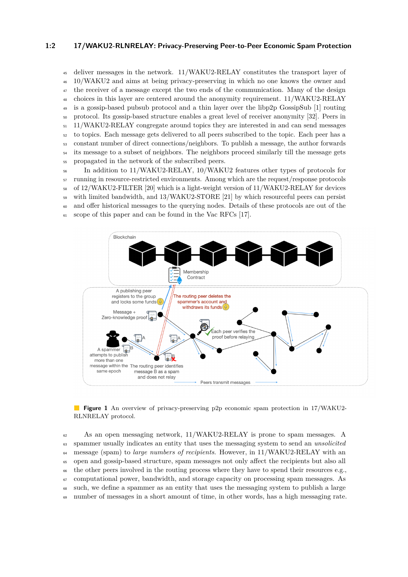#### **1:2 17/WAKU2-RLNRELAY: Privacy-Preserving Peer-to-Peer Economic Spam Protection**

 deliver messages in the network. 11/WAKU2-RELAY constitutes the transport layer of 10/WAKU2 and aims at being privacy-preserving in which no one knows the owner and <sup>47</sup> the receiver of a message except the two ends of the communication. Many of the design choices in this layer are centered around the anonymity requirement. 11/WAKU2-RELAY is a gossip-based pubsub protocol and a thin layer over the libp2p GossipSub [\[1\]](#page-11-1) routing protocol. Its gossip-based structure enables a great level of receiver anonymity [\[32\]](#page-12-2). Peers in 11/WAKU2-RELAY congregate around topics they are interested in and can send messages to topics. Each message gets delivered to all peers subscribed to the topic. Each peer has a constant number of direct connections/neighbors. To publish a message, the author forwards <sup>54</sup> its message to a subset of neighbors. The neighbors proceed similarly till the message gets propagated in the network of the subscribed peers.

 In addition to 11/WAKU2-RELAY, 10/WAKU2 features other types of protocols for running in resource-restricted environments. Among which are the request/response protocols of 12/WAKU2-FILTER [\[20\]](#page-12-3) which is a light-weight version of 11/WAKU2-RELAY for devices with limited bandwidth, and 13/WAKU2-STORE [\[21\]](#page-12-4) by which resourceful peers can persist and offer historical messages to the querying nodes. Details of these protocols are out of the scope of this paper and can be found in the Vac RFCs [\[17\]](#page-12-5).



**Figure 1** An overview of privacy-preserving p2p economic spam protection in 17/WAKU2- RLNRELAY protocol.

 As an open messaging network, 11/WAKU2-RELAY is prone to spam messages. A spammer usually indicates an entity that uses the messaging system to send an *unsolicited* message (spam) to *large numbers of recipients*. However, in 11/WAKU2-RELAY with an open and gossip-based structure, spam messages not only affect the recipients but also all <sup>66</sup> the other peers involved in the routing process where they have to spend their resources e.g., computational power, bandwidth, and storage capacity on processing spam messages. As such, we define a spammer as an entity that uses the messaging system to publish a large number of messages in a short amount of time, in other words, has a high messaging rate.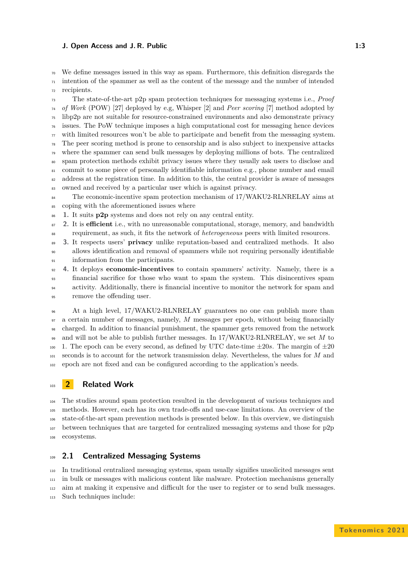#### **J. Open Access and J. R. Public 1:3**

 $\frac{1}{70}$  We define messages issued in this way as spam. Furthermore, this definition disregards the  $_{71}$  intention of the spammer as well as the content of the message and the number of intended

recipients.

 The state-of-the-art p2p spam protection techniques for messaging systems i.e., *Proof of Work* (POW) [\[27\]](#page-12-6) deployed by e.g, Whisper [\[2\]](#page-11-2) and *Peer scoring* [\[7\]](#page-11-3) method adopted by libp2p are not suitable for resource-constrained environments and also demonstrate privacy issues. The PoW technique imposes a high computational cost for messaging hence devices  $\eta$  with limited resources won't be able to participate and benefit from the messaging system. The peer scoring method is prone to censorship and is also subject to inexpensive attacks where the spammer can send bulk messages by deploying millions of bots. The centralized spam protection methods exhibit privacy issues where they usually ask users to disclose and commit to some piece of personally identifiable information e.g., phone number and email <sup>82</sup> address at the registration time. In addition to this, the central provider is aware of messages owned and received by a particular user which is against privacy.

<sup>84</sup> The economic-incentive spam protection mechanism of 17/WAKU2-RLNRELAY aims at coping with the aforementioned issues where

**1.** It suits **p2p** systems and does not rely on any central entity.

 **2.** It is **efficient** i.e., with no unreasonable computational, storage, memory, and bandwidth requirement, as such, it fits the network of *heterogeneous* peers with limited resources.

 **3.** It respects users' **privacy** unlike reputation-based and centralized methods. It also allows identification and removal of spammers while not requiring personally identifiable information from the participants.

 **4.** It deploys **economic-incentives** to contain spammers' activity. Namely, there is a financial sacrifice for those who want to spam the system. This disincentives spam activity. Additionally, there is financial incentive to monitor the network for spam and remove the offending user.

 At a high level, 17/WAKU2-RLNRELAY guarantees no one can publish more than a certain number of messages, namely, *M* messages per epoch, without being financially charged. In addition to financial punishment, the spammer gets removed from the network and will not be able to publish further messages. In 17/WAKU2-RLNRELAY, we set *M* to 100 1. The epoch can be every second, as defined by UTC date-time  $\pm 20s$ . The margin of  $\pm 20$  seconds is to account for the network transmission delay. Nevertheless, the values for *M* and epoch are not fixed and can be configured according to the application's needs.

## **2 Related Work**

 The studies around spam protection resulted in the development of various techniques and methods. However, each has its own trade-offs and use-case limitations. An overview of the state-of-the-art spam prevention methods is presented below. In this overview, we distinguish between techniques that are targeted for centralized messaging systems and those for p2p ecosystems.

# **2.1 Centralized Messaging Systems**

 In traditional centralized messaging systems, spam usually signifies unsolicited messages sent in bulk or messages with malicious content like malware. Protection mechanisms generally aim at making it expensive and difficult for the user to register or to send bulk messages. Such techniques include: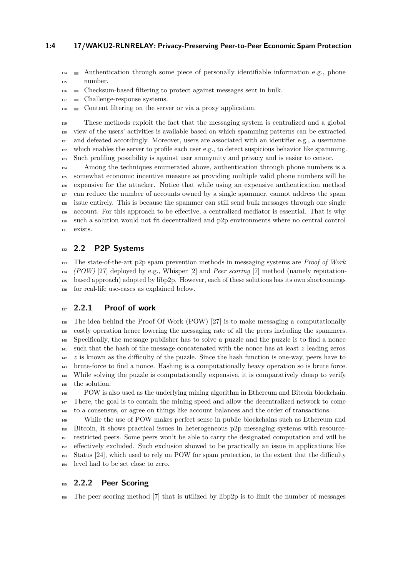#### **1:4 17/WAKU2-RLNRELAY: Privacy-Preserving Peer-to-Peer Economic Spam Protection**

 $_{114}$  Authentication through some piece of personally identifiable information e.g., phone number.

- Checksum-based filtering to protect against messages sent in bulk.
- Challenge-response systems.
- Content filtering on the server or via a proxy application.

 These methods exploit the fact that the messaging system is centralized and a global view of the users' activities is available based on which spamming patterns can be extracted and defeated accordingly. Moreover, users are associated with an identifier e.g., a username which enables the server to profile each user e.g., to detect suspicious behavior like spamming. Such profiling possibility is against user anonymity and privacy and is easier to censor.

 Among the techniques enumerated above, authentication through phone numbers is a somewhat economic incentive measure as providing multiple valid phone numbers will be expensive for the attacker. Notice that while using an expensive authentication method can reduce the number of accounts owned by a single spammer, cannot address the spam issue entirely. This is because the spammer can still send bulk messages through one single account. For this approach to be effective, a centralized mediator is essential. That is why such a solution would not fit decentralized and p2p environments where no central control exists.

## **2.2 P2P Systems**

 The state-of-the-art p2p spam prevention methods in messaging systems are *Proof of Work (POW)* [\[27\]](#page-12-6) deployed by e.g., Whisper [\[2\]](#page-11-2) and *Peer scoring* [\[7\]](#page-11-3) method (namely reputation- based approach) adopted by libp2p. However, each of these solutions has its own shortcomings for real-life use-cases as explained below.

#### **2.2.1 Proof of work**

 The idea behind the Proof Of Work (POW) [\[27\]](#page-12-6) is to make messaging a computationally costly operation hence lowering the messaging rate of all the peers including the spammers. Specifically, the message publisher has to solve a puzzle and the puzzle is to find a nonce such that the hash of the message concatenated with the nonce has at least *z* leading zeros.  $142 \text{ z}$  is known as the difficulty of the puzzle. Since the hash function is one-way, peers have to brute-force to find a nonce. Hashing is a computationally heavy operation so is brute force. While solving the puzzle is computationally expensive, it is comparatively cheap to verify the solution.

 POW is also used as the underlying mining algorithm in Ethereum and Bitcoin blockchain. There, the goal is to contain the mining speed and allow the decentralized network to come to a consensus, or agree on things like account balances and the order of transactions.

 While the use of POW makes perfect sense in public blockchains such as Ethereum and Bitcoin, it shows practical issues in heterogeneous p2p messaging systems with resource- restricted peers. Some peers won't be able to carry the designated computation and will be effectively excluded. Such exclusion showed to be practically an issue in applications like Status [\[24\]](#page-12-7), which used to rely on POW for spam protection, to the extent that the difficulty level had to be set close to zero.

## **2.2.2 Peer Scoring**

The peer scoring method [\[7\]](#page-11-3) that is utilized by libp2p is to limit the number of messages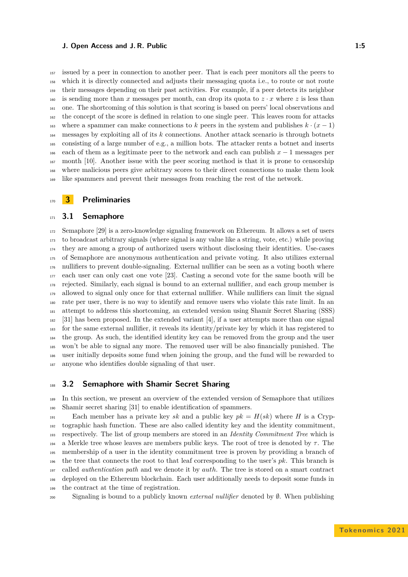#### **J. Open Access and J. R. Public 1:5**

 issued by a peer in connection to another peer. That is each peer monitors all the peers to which it is directly connected and adjusts their messaging quota i.e., to route or not route their messages depending on their past activities. For example, if a peer detects its neighbor 160 is sending more than *x* messages per month, can drop its quota to  $z \cdot x$  where *z* is less than one. The shortcoming of this solution is that scoring is based on peers' local observations and the concept of the score is defined in relation to one single peer. This leaves room for attacks 163 where a spammer can make connections to *k* peers in the system and publishes  $k \cdot (x - 1)$  messages by exploiting all of its *k* connections. Another attack scenario is through botnets consisting of a large number of e.g., a million bots. The attacker rents a botnet and inserts each of them as a legitimate peer to the network and each can publish *x* − 1 messages per month [\[10\]](#page-11-4). Another issue with the peer scoring method is that it is prone to censorship where malicious peers give arbitrary scores to their direct connections to make them look like spammers and prevent their messages from reaching the rest of the network.

#### **3 Preliminaries**

#### **3.1 Semaphore**

 Semaphore [\[29\]](#page-12-8) is a zero-knowledge signaling framework on Ethereum. It allows a set of users to broadcast arbitrary signals (where signal is any value like a string, vote, etc.) while proving they are among a group of authorized users without disclosing their identities. Use-cases of Semaphore are anonymous authentication and private voting. It also utilizes external nullifiers to prevent double-signaling. External nullifier can be seen as a voting booth where each user can only cast one vote [\[23\]](#page-12-9). Casting a second vote for the same booth will be rejected. Similarly, each signal is bound to an external nullifier, and each group member is allowed to signal only once for that external nullifier. While nullifiers can limit the signal rate per user, there is no way to identify and remove users who violate this rate limit. In an attempt to address this shortcoming, an extended version using Shamir Secret Sharing (SSS) [\[31\]](#page-12-10) has been proposed. In the extended variant [\[4\]](#page-11-5), if a user attempts more than one signal for the same external nullifier, it reveals its identity/private key by which it has registered to the group. As such, the identified identity key can be removed from the group and the user won't be able to signal any more. The removed user will be also financially punished. The user initially deposits some fund when joining the group, and the fund will be rewarded to anyone who identifies double signaling of that user.

#### <span id="page-4-0"></span>**3.2 Semaphore with Shamir Secret Sharing**

 In this section, we present an overview of the extended version of Semaphore that utilizes Shamir secret sharing [\[31\]](#page-12-10) to enable identification of spammers.

 $F_{191}$  Each member has a private key *sk* and a public key  $pk = H(sk)$  where *H* is a Cryp- tographic hash function. These are also called identity key and the identity commitment, respectively. The list of group members are stored in an *Identity Commitment Tree* which is 194 a Merkle tree whose leaves are members public keys. The root of tree is denoted by  $\tau$ . The membership of a user in the identity commitment tree is proven by providing a branch of the tree that connects the root to that leaf corresponding to the user's *pk*. This branch is called *authentication path* and we denote it by *auth*. The tree is stored on a smart contract deployed on the Ethereum blockchain. Each user additionally needs to deposit some funds in the contract at the time of registration.

Signaling is bound to a publicly known *external nullifier* denoted by ∅. When publishing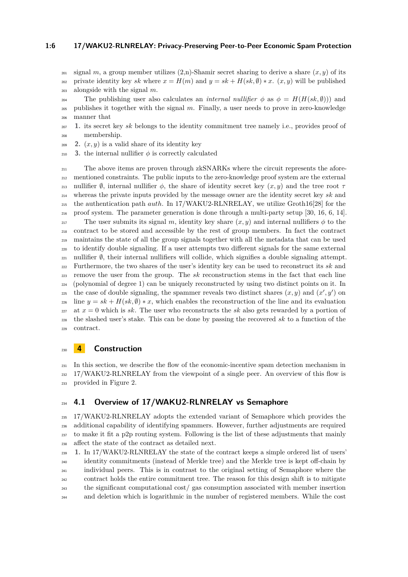#### **1:6 17/WAKU2-RLNRELAY: Privacy-Preserving Peer-to-Peer Economic Spam Protection**

 $_{201}$  signal *m*, a group member utilizes  $(2,n)$ -Shamir secret sharing to derive a share  $(x, y)$  of its

202 private identity key *sk* where  $x = H(m)$  and  $y = sk + H(sk, \emptyset) * x$ .  $(x, y)$  will be published alongside with the signal *m*.

204 The publishing user also calculates an *internal nullifier*  $\phi$  as  $\phi = H(H(sk, \emptyset))$  and publishes it together with the signal *m*. Finally, a user needs to prove in zero-knowledge manner that

- **1.** its secret key *sk* belongs to the identity commitment tree namely i.e., provides proof of membership.
- 209 **2.**  $(x, y)$  is a valid share of its identity key
- 210 **3.** the internal nullifier  $\phi$  is correctly calculated

 The above items are proven through zkSNARKs where the circuit represents the afore- mentioned constraints. The public inputs to the zero-knowledge proof system are the external <sup>213</sup> nullifier  $\emptyset$ , internal nullifier  $\phi$ , the share of identity secret key  $(x, y)$  and the tree root *τ*  whereas the private inputs provided by the message owner are the identity secret key *sk* and the authentication path *auth*. In 17/WAKU2-RLNRELAY, we utilize Groth16[\[28\]](#page-12-11) for the proof system. The parameter generation is done through a multi-party setup [\[30,](#page-12-12) [16,](#page-12-13) [6,](#page-11-6) [14\]](#page-11-7). 217 The user submits its signal *m*, identity key share  $(x, y)$  and internal nullifiers  $\phi$  to the contract to be stored and accessible by the rest of group members. In fact the contract maintains the state of all the group signals together with all the metadata that can be used to identify double signaling. If a user attempts two different signals for the same external  $_{221}$  nullifier  $\emptyset$ , their internal nullifiers will collide, which signifies a double signaling attempt. Furthermore, the two shares of the user's identity key can be used to reconstruct its *sk* and  $_{223}$  remove the user from the group. The  $sk$  reconstruction stems in the fact that each line (polynomial of degree 1) can be uniquely reconstructed by using two distinct points on it. In the case of double signaling, the spammer reveals two distinct shares  $(x, y)$  and  $(x', y')$  on  $_{226}$  line  $y = sk + H(sk, \emptyset) * x$ , which enables the reconstruction of the line and its evaluation at  $x = 0$  which is *sk*. The user who reconstructs the *sk* also gets rewarded by a portion of the slashed user's stake. This can be done by passing the recovered *sk* to a function of the contract.

## **4 Construction**

 In this section, we describe the flow of the economic-incentive spam detection mechanism in 17/WAKU2-RLNRELAY from the viewpoint of a single peer. An overview of this flow is provided in Figure [2.](#page-7-0)

## **4.1 Overview of 17/WAKU2-RLNRELAY vs Semaphore**

 17/WAKU2-RLNRELAY adopts the extended variant of Semaphore which provides the additional capability of identifying spammers. However, further adjustments are required to make it fit a p2p routing system. Following is the list of these adjustments that mainly affect the state of the contract as detailed next.

 **1.** In 17/WAKU2-RLNRELAY the state of the contract keeps a simple ordered list of users' identity commitments (instead of Merkle tree) and the Merkle tree is kept off-chain by individual peers. This is in contrast to the original setting of Semaphore where the contract holds the entire commitment tree. The reason for this design shift is to mitigate the significant computational cost/ gas consumption associated with member insertion and deletion which is logarithmic in the number of registered members. While the cost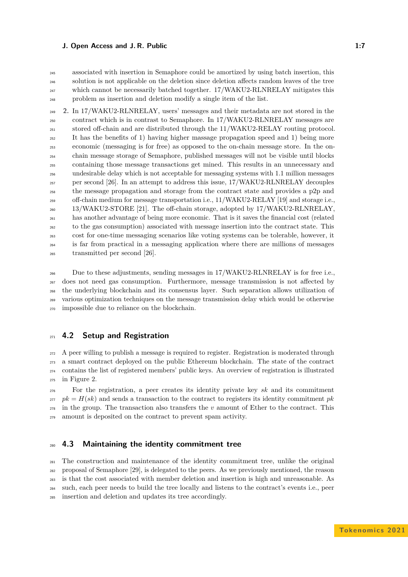#### **J. Open Access and J. R. Public 1:7** and  $\overline{a}$  1:7

 associated with insertion in Semaphore could be amortized by using batch insertion, this solution is not applicable on the deletion since deletion affects random leaves of the tree which cannot be necessarily batched together. 17/WAKU2-RLNRELAY mitigates this problem as insertion and deletion modify a single item of the list.

 **2.** In 17/WAKU2-RLNRELAY, users' messages and their metadata are not stored in the contract which is in contrast to Semaphore. In 17/WAKU2-RLNRELAY messages are stored off-chain and are distributed through the 11/WAKU2-RELAY routing protocol. It has the benefits of ) having higher massage propagation speed and  $1$ ) being more economic (messaging is for free) as opposed to the on-chain message store. In the on- chain message storage of Semaphore, published messages will not be visible until blocks containing those message transactions get mined. This results in an unnecessary and undesirable delay which is not acceptable for messaging systems with 1.1 million messages per second [\[26\]](#page-12-14). In an attempt to address this issue, 17/WAKU2-RLNRELAY decouples the message propagation and storage from the contract state and provides a p2p and off-chain medium for message transportation i.e., 11/WAKU2-RELAY [\[19\]](#page-12-15) and storage i.e., 13/WAKU2-STORE [\[21\]](#page-12-4). The off-chain storage, adopted by 17/WAKU2-RLNRELAY, has another advantage of being more economic. That is it saves the financial cost (related to the gas consumption) associated with message insertion into the contract state. This cost for one-time messaging scenarios like voting systems can be tolerable, however, it is far from practical in a messaging application where there are millions of messages transmitted per second [\[26\]](#page-12-14).

 Due to these adjustments, sending messages in 17/WAKU2-RLNRELAY is for free i.e., does not need gas consumption. Furthermore, message transmission is not affected by the underlying blockchain and its consensus layer. Such separation allows utilization of various optimization techniques on the message transmission delay which would be otherwise impossible due to reliance on the blockchain.

## **4.2 Setup and Registration**

 A peer willing to publish a message is required to register. Registration is moderated through a smart contract deployed on the public Ethereum blockchain. The state of the contract contains the list of registered members' public keys. An overview of registration is illustrated in Figure [2.](#page-7-0)

 For the registration, a peer creates its identity private key *sk* and its commitment *pk* =  $H(sk)$  and sends a transaction to the contract to registers its identity commitment *pk*  in the group. The transaction also transfers the *v* amount of Ether to the contract. This amount is deposited on the contract to prevent spam activity.

## **4.3 Maintaining the identity commitment tree**

 The construction and maintenance of the identity commitment tree, unlike the original proposal of Semaphore [\[29\]](#page-12-8), is delegated to the peers. As we previously mentioned, the reason is that the cost associated with member deletion and insertion is high and unreasonable. As such, each peer needs to build the tree locally and listens to the contract's events i.e., peer insertion and deletion and updates its tree accordingly.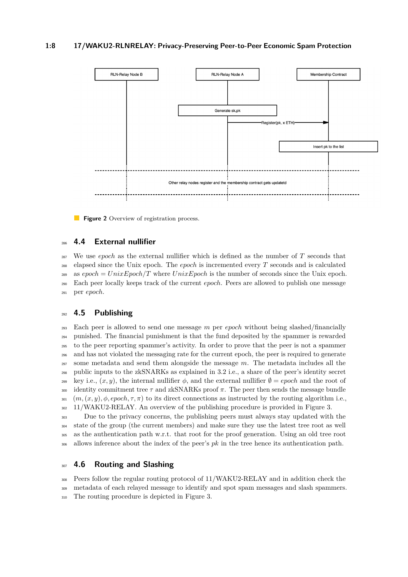#### **1:8 17/WAKU2-RLNRELAY: Privacy-Preserving Peer-to-Peer Economic Spam Protection**

<span id="page-7-0"></span>

**Figure 2** Overview of registration process.

## **4.4 External nullifier**

 We use *epoch* as the external nullifier which is defined as the number of *T* seconds that elapsed since the Unix epoch. The *epoch* is incremented every *T* seconds and is calculated as  $epoch = UnixEpoch/T$  where  $UnixEpoch$  is the number of seconds since the Unix epoch. Each peer locally keeps track of the current *epoch*. Peers are allowed to publish one message per *epoch*.

## **4.5 Publishing**

 Each peer is allowed to send one message *m* per *epoch* without being slashed/financially punished. The financial punishment is that the fund deposited by the spammer is rewarded to the peer reporting spammer's activity. In order to prove that the peer is not a spammer and has not violated the messaging rate for the current epoch, the peer is required to generate some metadata and send them alongside the message *m*. The metadata includes all the public inputs to the zkSNARKs as explained in [3.2](#page-4-0) i.e., a share of the peer's identity secret key i.e.,  $(x, y)$ , the internal nullifier  $φ$ , and the external nullifier  $φ = epoch$  and the root of 300 identity commitment tree  $\tau$  and zkSNARKs proof  $\pi$ . The peer then sends the message bundle  $(m,(x,y),\phi,epoch,\tau,\pi)$  to its direct connections as instructed by the routing algorithm i.e., 11/WAKU2-RELAY. An overview of the publishing procedure is provided in Figure [3.](#page-8-0)

<sup>303</sup> Due to the privacy concerns, the publishing peers must always stay updated with the state of the group (the current members) and make sure they use the latest tree root as well as the authentication path w.r.t. that root for the proof generation. Using an old tree root allows inference about the index of the peer's *pk* in the tree hence its authentication path.

# <span id="page-7-1"></span>**4.6 Routing and Slashing**

 Peers follow the regular routing protocol of 11/WAKU2-RELAY and in addition check the metadata of each relayed message to identify and spot spam messages and slash spammers. The routing procedure is depicted in Figure [3.](#page-8-0)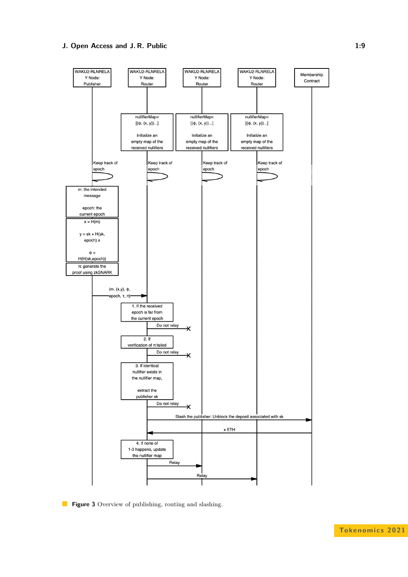## **J. Open Access and J. R. Public 1:9**

<span id="page-8-0"></span>

**Figure 3** Overview of publishing, routing and slashing.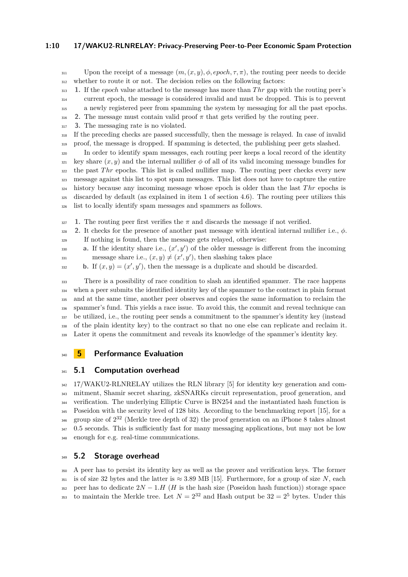#### **1:10 17/WAKU2-RLNRELAY: Privacy-Preserving Peer-to-Peer Economic Spam Protection**

- $\text{Y}_{311}$  Upon the receipt of a message  $(m,(x,y),\phi, epoch,\tau,\pi)$ , the routing peer needs to decide
- whether to route it or not. The decision relies on the following factors:
- **1.** If the *epoch* value attached to the message has more than *T hr* gap with the routing peer's current epoch, the message is considered invalid and must be dropped. This is to prevent a newly registered peer from spamming the system by messaging for all the past epochs.
- 316 **2.** The message must contain valid proof  $\pi$  that gets verified by the routing peer.
- **3.** The messaging rate is no violated.
- If the preceding checks are passed successfully, then the message is relayed. In case of invalid proof, the message is dropped. If spamming is detected, the publishing peer gets slashed.
- In order to identify spam messages, each routing peer keeps a local record of the identity  $\frac{321}{221}$  key share  $(x, y)$  and the internal nullifier  $\phi$  of all of its valid incoming message bundles for <sup>322</sup> the past *Thr* epochs. This list is called nullifier map. The routing peer checks every new message against this list to spot spam messages. This list does not have to capture the entire history because any incoming message whose epoch is older than the last *Thr* epochs is discarded by default (as explained in item 1 of section [4.6\)](#page-7-1). The routing peer utilizes this list to locally identify spam messages and spammers as follows.
- **1.** The routing peer first verifies the  $\pi$  and discards the message if not verified.
- **2.** It checks for the presence of another past message with identical internal nullifier i.e., *φ*. If nothing is found, then the message gets relayed, otherwise:
- **a.** If the identity share i.e.,  $(x', y')$  of the older message is different from the incoming  $m$ essage share i.e.,  $(x, y) \neq (x', y')$ , then slashing takes place
- 332 **b.** If  $(x, y) = (x', y')$ , then the message is a duplicate and should be discarded.

 There is a possibility of race condition to slash an identified spammer. The race happens when a peer submits the identified identity key of the spammer to the contract in plain format and at the same time, another peer observes and copies the same information to reclaim the spammer's fund. This yields a race issue. To avoid this, the commit and reveal technique can be utilized, i.e., the routing peer sends a commitment to the spammer's identity key (instead of the plain identity key) to the contract so that no one else can replicate and reclaim it. Later it opens the commitment and reveals its knowledge of the spammer's identity key.

## **5 Performance Evaluation**

# **341 <b>5.1** Computation overhead

 17/WAKU2-RLNRELAY utilizes the RLN library [\[5\]](#page-11-8) for identity key generation and com- mitment, Shamir secret sharing, zkSNARKs circuit representation, proof generation, and verification. The underlying Elliptic Curve is BN254 and the instantiated hash function is Poseidon with the security level of 128 bits. According to the benchmarking report [\[15\]](#page-11-9), for a  $_{346}$  group size of  $2^{32}$  (Merkle tree depth of 32) the proof generation on an iPhone 8 takes almost 0*.*5 seconds. This is sufficiently fast for many messaging applications, but may not be low enough for e.g. real-time communications.

## **5.2 Storage overhead**

 A peer has to persist its identity key as well as the prover and verification keys. The former 351 is of size 32 bytes and the latter is  $\approx 3.89$  MB [\[15\]](#page-11-9). Furthermore, for a group of size *N*, each 352 peer has to dedicate  $2N - 1.H$  (*H* is the hash size (Poseidon hash function)) storage space <sup>353</sup> to maintain the Merkle tree. Let  $N = 2^{32}$  and Hash output be  $32 = 2^5$  bytes. Under this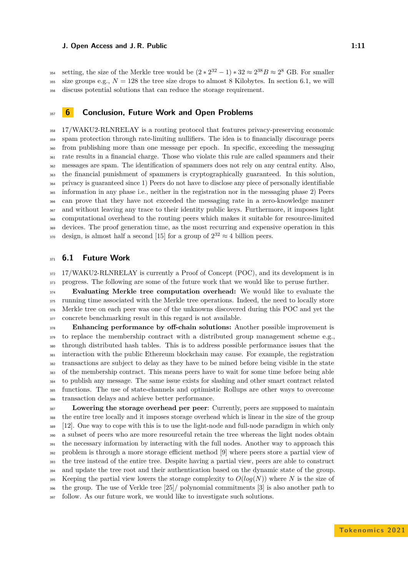#### **J. Open Access and J. R. Public 1:11** 1:11

ss4 setting, the size of the Merkle tree would be  $(2 \times 2^{32} - 1) \times 32 \approx 2^{38}B \approx 2^8$  GB. For smaller 355 size groups e.g.,  $N = 128$  the tree size drops to almost 8 Kilobytes. In section [6.1,](#page-10-0) we will discuss potential solutions that can reduce the storage requirement.

## **6 Conclusion, Future Work and Open Problems**

 17/WAKU2-RLNRELAY is a routing protocol that features privacy-preserving economic spam protection through rate-limiting nullifiers. The idea is to financially discourage peers from publishing more than one message per epoch. In specific, exceeding the messaging rate results in a financial charge. Those who violate this rule are called spammers and their messages are spam. The identification of spammers does not rely on any central entity. Also, the financial punishment of spammers is cryptographically guaranteed. In this solution, privacy is guaranteed since 1) Peers do not have to disclose any piece of personally identifiable information in any phase i.e., neither in the registration nor in the messaging phase 2) Peers can prove that they have not exceeded the messaging rate in a zero-knowledge manner and without leaving any trace to their identity public keys. Furthermore, it imposes light computational overhead to the routing peers which makes it suitable for resource-limited devices. The proof generation time, as the most recurring and expensive operation in this  $\sigma_3$  design, is almost half a second [\[15\]](#page-11-9) for a group of  $2^{32} \approx 4$  billion peers.

## <span id="page-10-0"></span>**6.1 Future Work**

372 17/WAKU2-RLNRELAY is currently a Proof of Concept (POC), and its development is in progress. The following are some of the future work that we would like to peruse further.

 **Evaluating Merkle tree computation overhead:** We would like to evaluate the running time associated with the Merkle tree operations. Indeed, the need to locally store Merkle tree on each peer was one of the unknowns discovered during this POC and yet the concrete benchmarking result in this regard is not available.

 **Enhancing performance by off-chain solutions:** Another possible improvement is <sub>379</sub> to replace the membership contract with a distributed group management scheme e.g., through distributed hash tables. This is to address possible performance issues that the interaction with the public Ethereum blockchain may cause. For example, the registration transactions are subject to delay as they have to be mined before being visible in the state of the membership contract. This means peers have to wait for some time before being able to publish any message. The same issue exists for slashing and other smart contract related functions. The use of state-channels and optimistic Rollups are other ways to overcome transaction delays and achieve better performance.

 **Lowering the storage overhead per peer**: Currently, peers are supposed to maintain the entire tree locally and it imposes storage overhead which is linear in the size of the group [\[12\]](#page-11-10). One way to cope with this is to use the light-node and full-node paradigm in which only a subset of peers who are more resourceful retain the tree whereas the light nodes obtain <sup>391</sup> the necessary information by interacting with the full nodes. Another way to approach this problem is through a more storage efficient method [\[9\]](#page-11-11) where peers store a partial view of the tree instead of the entire tree. Despite having a partial view, peers are able to construct <sup>394</sup> and update the tree root and their authentication based on the dynamic state of the group. 395 Keeping the partial view lowers the storage complexity to  $O(log(N))$  where N is the size of the group. The use of Verkle tree [\[25\]](#page-12-16)/ polynomial commitments [\[3\]](#page-11-12) is also another path to follow. As our future work, we would like to investigate such solutions.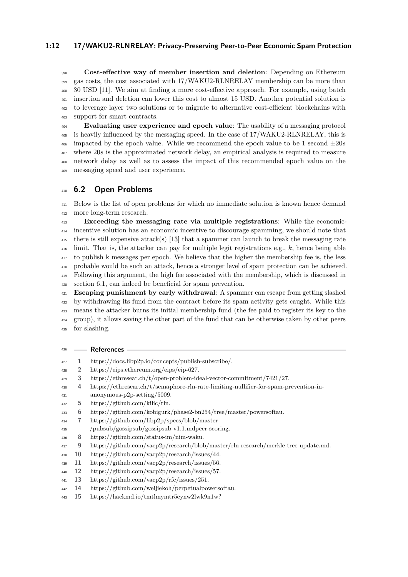#### **1:12 17/WAKU2-RLNRELAY: Privacy-Preserving Peer-to-Peer Economic Spam Protection**

 **Cost-effective way of member insertion and deletion**: Depending on Ethereum gas costs, the cost associated with 17/WAKU2-RLNRELAY membership can be more than 30 USD [\[11\]](#page-11-13). We aim at finding a more cost-effective approach. For example, using batch insertion and deletion can lower this cost to almost 15 USD. Another potential solution is to leverage layer two solutions or to migrate to alternative cost-efficient blockchains with support for smart contracts.

 **Evaluating user experience and epoch value**: The usability of a messaging protocol is heavily influenced by the messaging speed. In the case of 17/WAKU2-RLNRELAY, this is <sup>406</sup> impacted by the epoch value. While we recommend the epoch value to be 1 second  $\pm 20s$  where 20*s* is the approximated network delay, an empirical analysis is required to measure network delay as well as to assess the impact of this recommended epoch value on the messaging speed and user experience.

## **6.2 Open Problems**

 Below is the list of open problems for which no immediate solution is known hence demand more long-term research.

 **Exceeding the messaging rate via multiple registrations**: While the economic- incentive solution has an economic incentive to discourage spamming, we should note that there is still expensive attack(s) [\[13\]](#page-11-14) that a spammer can launch to break the messaging rate limit. That is, the attacker can pay for multiple legit registrations e.g., *k*, hence being able to publish k messages per epoch. We believe that the higher the membership fee is, the less probable would be such an attack, hence a stronger level of spam protection can be achieved. Following this argument, the high fee associated with the membership, which is discussed in section [6.1,](#page-10-0) can indeed be beneficial for spam prevention.

 **Escaping punishment by early withdrawal**: A spammer can escape from getting slashed <sup>422</sup> by withdrawing its fund from the contract before its spam activity gets caught. While this means the attacker burns its initial membership fund (the fee paid to register its key to the group), it allows saving the other part of the fund that can be otherwise taken by other peers for slashing.

#### **References**

- <span id="page-11-1"></span>**1** https://docs.libp2p.io/concepts/publish-subscribe/.
- <span id="page-11-2"></span>**2** https://eips.ethereum.org/eips/eip-627.
- <span id="page-11-12"></span>**3** https://ethresear.ch/t/open-problem-ideal-vector-commitment/7421/27.
- <span id="page-11-5"></span> **4** https://ethresear.ch/t/semaphore-rln-rate-limiting-nullifier-for-spam-prevention-in-anonymous-p2p-setting/5009.
- <span id="page-11-8"></span>**5** https://github.com/kilic/rln.
- <span id="page-11-6"></span>**6** https://github.com/kobigurk/phase2-bn254/tree/master/powersoftau.
- <span id="page-11-3"></span>**7** https://github.com/libp2p/specs/blob/master
- /pubsub/gossipsub/gossipsub-v1.1.mdpeer-scoring.
- <span id="page-11-0"></span>**8** https://github.com/status-im/nim-waku.
- <span id="page-11-11"></span>**9** https://github.com/vacp2p/research/blob/master/rln-research/merkle-tree-update.md.
- <span id="page-11-4"></span>**10** https://github.com/vacp2p/research/issues/44.
- <span id="page-11-13"></span>**11** https://github.com/vacp2p/research/issues/56.
- <span id="page-11-10"></span>**12** https://github.com/vacp2p/research/issues/57.
- <span id="page-11-14"></span>**13** https://github.com/vacp2p/rfc/issues/251.
- <span id="page-11-7"></span>**14** https://github.com/weijiekoh/perpetualpowersoftau.
- <span id="page-11-9"></span>**15** https://hackmd.io/tmtlmymtr5eynw2lwk9n1w?